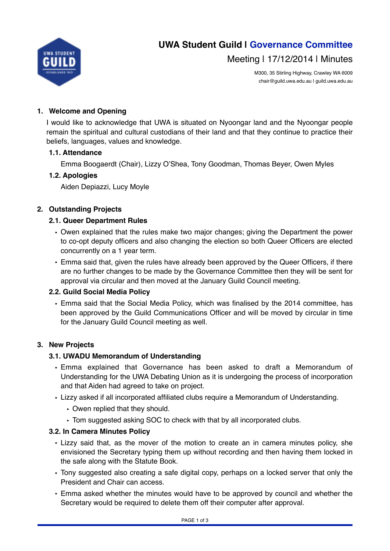

Meeting | 17/12/2014 | Minutes

M300, 35 Stirling Highway, Crawley WA 6009 chair@guild.uwa.edu.au | guild.uwa.edu.au

# **1. Welcome and Opening**

I would like to acknowledge that UWA is situated on Nyoongar land and the Nyoongar people remain the spiritual and cultural custodians of their land and that they continue to practice their beliefs, languages, values and knowledge.

## **1.1. Attendance**

Emma Boogaerdt (Chair), Lizzy O'Shea, Tony Goodman, Thomas Beyer, Owen Myles

## **1.2. Apologies**

Aiden Depiazzi, Lucy Moyle

## **2. Outstanding Projects**

## **2.1. Queer Department Rules**

- Owen explained that the rules make two major changes; giving the Department the power to co-opt deputy officers and also changing the election so both Queer Officers are elected concurrently on a 1 year term.
- Emma said that, given the rules have already been approved by the Queer Officers, if there are no further changes to be made by the Governance Committee then they will be sent for approval via circular and then moved at the January Guild Council meeting.

# **2.2. Guild Social Media Policy**

• Emma said that the Social Media Policy, which was finalised by the 2014 committee, has been approved by the Guild Communications Officer and will be moved by circular in time for the January Guild Council meeting as well.

# **3. New Projects**

# **3.1. UWADU Memorandum of Understanding**

- Emma explained that Governance has been asked to draft a Memorandum of Understanding for the UWA Debating Union as it is undergoing the process of incorporation and that Aiden had agreed to take on project.
- Lizzy asked if all incorporated affiliated clubs require a Memorandum of Understanding.
	- Owen replied that they should.
	- Tom suggested asking SOC to check with that by all incorporated clubs.

#### **3.2. In Camera Minutes Policy**

- Lizzy said that, as the mover of the motion to create an in camera minutes policy, she envisioned the Secretary typing them up without recording and then having them locked in the safe along with the Statute Book.
- Tony suggested also creating a safe digital copy, perhaps on a locked server that only the President and Chair can access.
- Emma asked whether the minutes would have to be approved by council and whether the Secretary would be required to delete them off their computer after approval.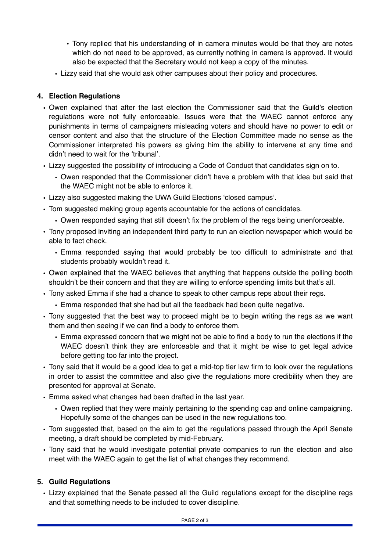- Tony replied that his understanding of in camera minutes would be that they are notes which do not need to be approved, as currently nothing in camera is approved. It would also be expected that the Secretary would not keep a copy of the minutes.
- Lizzy said that she would ask other campuses about their policy and procedures.

# **4. Election Regulations**

- Owen explained that after the last election the Commissioner said that the Guild's election regulations were not fully enforceable. Issues were that the WAEC cannot enforce any punishments in terms of campaigners misleading voters and should have no power to edit or censor content and also that the structure of the Election Committee made no sense as the Commissioner interpreted his powers as giving him the ability to intervene at any time and didn't need to wait for the 'tribunal'.
- Lizzy suggested the possibility of introducing a Code of Conduct that candidates sign on to.
	- Owen responded that the Commissioner didn't have a problem with that idea but said that the WAEC might not be able to enforce it.
- Lizzy also suggested making the UWA Guild Elections 'closed campus'.
- Tom suggested making group agents accountable for the actions of candidates.
	- Owen responded saying that still doesn't fix the problem of the regs being unenforceable.
- Tony proposed inviting an independent third party to run an election newspaper which would be able to fact check.
	- Emma responded saying that would probably be too difficult to administrate and that students probably wouldn't read it.
- Owen explained that the WAEC believes that anything that happens outside the polling booth shouldn't be their concern and that they are willing to enforce spending limits but that's all.
- Tony asked Emma if she had a chance to speak to other campus reps about their regs.
	- Emma responded that she had but all the feedback had been quite negative.
- Tony suggested that the best way to proceed might be to begin writing the regs as we want them and then seeing if we can find a body to enforce them.
	- Emma expressed concern that we might not be able to find a body to run the elections if the WAEC doesn't think they are enforceable and that it might be wise to get legal advice before getting too far into the project.
- Tony said that it would be a good idea to get a mid-top tier law firm to look over the regulations in order to assist the committee and also give the regulations more credibility when they are presented for approval at Senate.
- Emma asked what changes had been drafted in the last year.
	- Owen replied that they were mainly pertaining to the spending cap and online campaigning. Hopefully some of the changes can be used in the new regulations too.
- Tom suggested that, based on the aim to get the regulations passed through the April Senate meeting, a draft should be completed by mid-February.
- Tony said that he would investigate potential private companies to run the election and also meet with the WAEC again to get the list of what changes they recommend.

# **5. Guild Regulations**

• Lizzy explained that the Senate passed all the Guild regulations except for the discipline regs and that something needs to be included to cover discipline.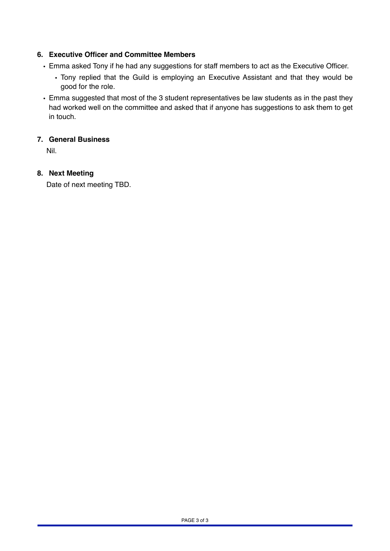# **6. Executive Officer and Committee Members**

- Emma asked Tony if he had any suggestions for staff members to act as the Executive Officer.
	- Tony replied that the Guild is employing an Executive Assistant and that they would be good for the role.
- Emma suggested that most of the 3 student representatives be law students as in the past they had worked well on the committee and asked that if anyone has suggestions to ask them to get in touch.

## **7. General Business**

Nil.

## **8. Next Meeting**

Date of next meeting TBD.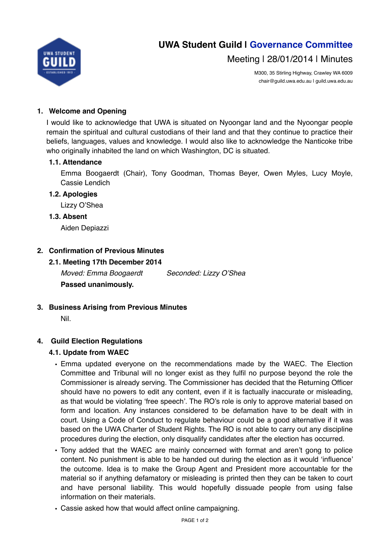

Meeting | 28/01/2014 | Minutes

M300, 35 Stirling Highway, Crawley WA 6009 chair@guild.uwa.edu.au | guild.uwa.edu.au

# **1. Welcome and Opening**

I would like to acknowledge that UWA is situated on Nyoongar land and the Nyoongar people remain the spiritual and cultural custodians of their land and that they continue to practice their beliefs, languages, values and knowledge. I would also like to acknowledge the Nanticoke tribe who originally inhabited the land on which Washington, DC is situated.

## **1.1. Attendance**

Emma Boogaerdt (Chair), Tony Goodman, Thomas Beyer, Owen Myles, Lucy Moyle, Cassie Lendich

#### **1.2. Apologies**

Lizzy O'Shea

## **1.3. Absent**

Aiden Depiazzi

# **2. Confirmation of Previous Minutes**

# **2.1. Meeting 17th December 2014**

*Moved: Emma Boogaerdt Seconded: Lizzy O'Shea* **Passed unanimously.** 

- **3. Business Arising from Previous Minutes**
	- Nil.

# **4. Guild Election Regulations**

# **4.1. Update from WAEC**

- Emma updated everyone on the recommendations made by the WAEC. The Election Committee and Tribunal will no longer exist as they fulfil no purpose beyond the role the Commissioner is already serving. The Commissioner has decided that the Returning Officer should have no powers to edit any content, even if it is factually inaccurate or misleading, as that would be violating 'free speech'. The RO's role is only to approve material based on form and location. Any instances considered to be defamation have to be dealt with in court. Using a Code of Conduct to regulate behaviour could be a good alternative if it was based on the UWA Charter of Student Rights. The RO is not able to carry out any discipline procedures during the election, only disqualify candidates after the election has occurred.
- Tony added that the WAEC are mainly concerned with format and aren't gong to police content. No punishment is able to be handed out during the election as it would 'influence' the outcome. Idea is to make the Group Agent and President more accountable for the material so if anything defamatory or misleading is printed then they can be taken to court and have personal liability. This would hopefully dissuade people from using false information on their materials.
- Cassie asked how that would affect online campaigning.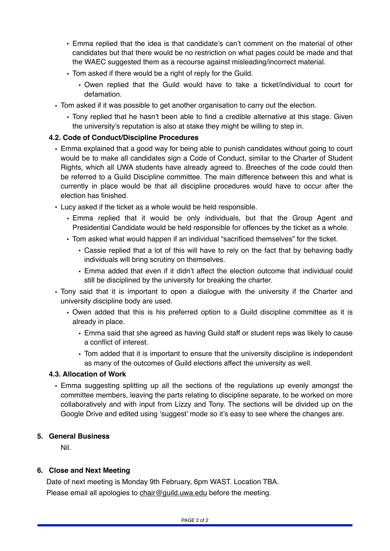- Emma replied that the idea is that candidate's can't comment on the material of other candidates but that there would be no restriction on what pages could be made and that the WAEC suggested them as a recourse against misleading/incorrect material.
- Tom asked if there would be a right of reply for the Guild.
	- Owen replied that the Guild would have to take a ticket/individual to court for defamation.
- Tom asked if it was possible to get another organisation to carry out the election.
	- Tony replied that he hasn't been able to find a credible alternative at this stage. Given the university's reputation is also at stake they might be willing to step in.

#### **4.2. Code of Conduct/Discipline Procedures**

- Emma explained that a good way for being able to punish candidates without going to court would be to make all candidates sign a Code of Conduct, similar to the Charter of Student Rights, which all UWA students have already agreed to. Breeches of the code could then be referred to a Guild Discipline committee. The main difference between this and what is currently in place would be that all discipline procedures would have to occur after the election has finished.
- Lucy asked if the ticket as a whole would be held responsible.
	- Emma replied that it would be only individuals, but that the Group Agent and Presidential Candidate would be held responsible for offences by the ticket as a whole.
	- Tom asked what would happen if an individual "sacrificed themselves" for the ticket.
		- Cassie replied that a lot of this will have to rely on the fact that by behaving badly individuals will bring scrutiny on themselves.
		- Emma added that even if it didn't affect the election outcome that individual could still be disciplined by the university for breaking the charter.
- Tony said that it is important to open a dialogue with the university if the Charter and university discipline body are used.
	- Owen added that this is his preferred option to a Guild discipline committee as it is already in place.
		- Emma said that she agreed as having Guild staff or student reps was likely to cause a conflict of interest.
		- Tom added that it is important to ensure that the university discipline is independent as many of the outcomes of Guild elections affect the university as well.

#### **4.3. Allocation of Work**

• Emma suggesting splitting up all the sections of the regulations up evenly amongst the committee members, leaving the parts relating to discipline separate, to be worked on more collaboratively and with input from Lizzy and Tony. The sections will be divided up on the Google Drive and edited using 'suggest' mode so it's easy to see where the changes are.

## **5. General Business**

Nil.

#### **6. Close and Next Meeting**

Date of next meeting is Monday 9th February, 6pm WAST. Location TBA. Please email all apologies to [chair@guild.uwa.edu](mailto:chair@guild.uwa.edu) before the meeting.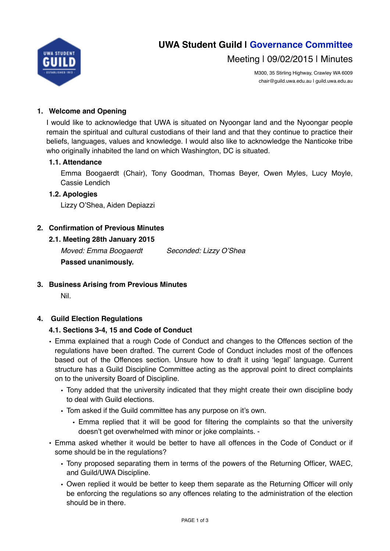

Meeting | 09/02/2015 | Minutes

M300, 35 Stirling Highway, Crawley WA 6009 chair@guild.uwa.edu.au | guild.uwa.edu.au

# **1. Welcome and Opening**

I would like to acknowledge that UWA is situated on Nyoongar land and the Nyoongar people remain the spiritual and cultural custodians of their land and that they continue to practice their beliefs, languages, values and knowledge. I would also like to acknowledge the Nanticoke tribe who originally inhabited the land on which Washington, DC is situated.

## **1.1. Attendance**

Emma Boogaerdt (Chair), Tony Goodman, Thomas Beyer, Owen Myles, Lucy Moyle, Cassie Lendich

#### **1.2. Apologies**

Lizzy O'Shea, Aiden Depiazzi

# **2. Confirmation of Previous Minutes**

## **2.1. Meeting 28th January 2015**

*Moved: Emma Boogaerdt Seconded: Lizzy O'Shea* **Passed unanimously.** 

**3. Business Arising from Previous Minutes**

Nil.

# **4. Guild Election Regulations**

#### **4.1. Sections 3-4, 15 and Code of Conduct**

- Emma explained that a rough Code of Conduct and changes to the Offences section of the regulations have been drafted. The current Code of Conduct includes most of the offences based out of the Offences section. Unsure how to draft it using 'legal' language. Current structure has a Guild Discipline Committee acting as the approval point to direct complaints on to the university Board of Discipline.
	- Tony added that the university indicated that they might create their own discipline body to deal with Guild elections.
	- Tom asked if the Guild committee has any purpose on it's own.
		- Emma replied that it will be good for filtering the complaints so that the university doesn't get overwhelmed with minor or joke complaints. -
- Emma asked whether it would be better to have all offences in the Code of Conduct or if some should be in the regulations?
	- Tony proposed separating them in terms of the powers of the Returning Officer, WAEC, and Guild/UWA Discipline.
	- Owen replied it would be better to keep them separate as the Returning Officer will only be enforcing the regulations so any offences relating to the administration of the election should be in there.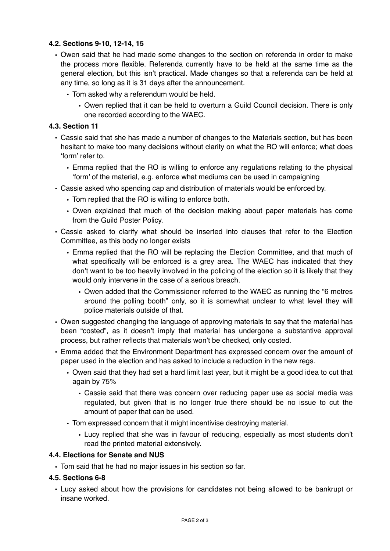### **4.2. Sections 9-10, 12-14, 15**

- Owen said that he had made some changes to the section on referenda in order to make the process more flexible. Referenda currently have to be held at the same time as the general election, but this isn't practical. Made changes so that a referenda can be held at any time, so long as it is 31 days after the announcement.
	- Tom asked why a referendum would be held.
		- Owen replied that it can be held to overturn a Guild Council decision. There is only one recorded according to the WAEC.

## **4.3. Section 11**

- Cassie said that she has made a number of changes to the Materials section, but has been hesitant to make too many decisions without clarity on what the RO will enforce; what does 'form' refer to.
	- Emma replied that the RO is willing to enforce any regulations relating to the physical 'form' of the material, e.g. enforce what mediums can be used in campaigning
- Cassie asked who spending cap and distribution of materials would be enforced by.
	- Tom replied that the RO is willing to enforce both.
	- Owen explained that much of the decision making about paper materials has come from the Guild Poster Policy.
- Cassie asked to clarify what should be inserted into clauses that refer to the Election Committee, as this body no longer exists
	- Emma replied that the RO will be replacing the Election Committee, and that much of what specifically will be enforced is a grey area. The WAEC has indicated that they don't want to be too heavily involved in the policing of the election so it is likely that they would only intervene in the case of a serious breach.
		- Owen added that the Commissioner referred to the WAEC as running the "6 metres around the polling booth" only, so it is somewhat unclear to what level they will police materials outside of that.
- Owen suggested changing the language of approving materials to say that the material has been "costed", as it doesn't imply that material has undergone a substantive approval process, but rather reflects that materials won't be checked, only costed.
- Emma added that the Environment Department has expressed concern over the amount of paper used in the election and has asked to include a reduction in the new regs.
	- Owen said that they had set a hard limit last year, but it might be a good idea to cut that again by 75%
		- Cassie said that there was concern over reducing paper use as social media was regulated, but given that is no longer true there should be no issue to cut the amount of paper that can be used.
	- Tom expressed concern that it might incentivise destroying material.
		- Lucy replied that she was in favour of reducing, especially as most students don't read the printed material extensively.

#### **4.4. Elections for Senate and NUS**

• Tom said that he had no major issues in his section so far.

#### **4.5. Sections 6-8**

• Lucy asked about how the provisions for candidates not being allowed to be bankrupt or insane worked.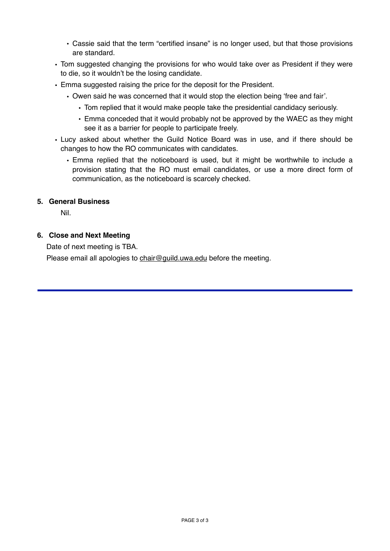- Cassie said that the term "certified insane" is no longer used, but that those provisions are standard.
- Tom suggested changing the provisions for who would take over as President if they were to die, so it wouldn't be the losing candidate.
- Emma suggested raising the price for the deposit for the President.
	- Owen said he was concerned that it would stop the election being 'free and fair'.
		- Tom replied that it would make people take the presidential candidacy seriously.
		- Emma conceded that it would probably not be approved by the WAEC as they might see it as a barrier for people to participate freely.
- Lucy asked about whether the Guild Notice Board was in use, and if there should be changes to how the RO communicates with candidates.
	- Emma replied that the noticeboard is used, but it might be worthwhile to include a provision stating that the RO must email candidates, or use a more direct form of communication, as the noticeboard is scarcely checked.

#### **5. General Business**

Nil.

#### **6. Close and Next Meeting**

Date of next meeting is TBA.

Please email all apologies to [chair@guild.uwa.edu](mailto:chair@guild.uwa.edu) before the meeting.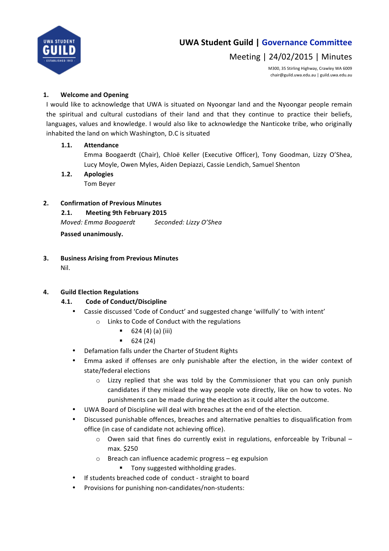

# Meeting | 24/02/2015 | Minutes

M300, 35 Stirling Highway, Crawley WA 6009 chair@guild.uwa.edu.au | guild.uwa.edu.au

# 1. Welcome and Opening

I would like to acknowledge that UWA is situated on Nyoongar land and the Nyoongar people remain the spiritual and cultural custodians of their land and that they continue to practice their beliefs, languages, values and knowledge. I would also like to acknowledge the Nanticoke tribe, who originally inhabited the land on which Washington, D.C is situated

# **1.1. Attendance**

Emma Boogaerdt (Chair), Chloë Keller (Executive Officer), Tony Goodman, Lizzy O'Shea, Lucy Moyle, Owen Myles, Aiden Depiazzi, Cassie Lendich, Samuel Shenton

1.2. **Apologies** Tom Beyer

# **2. Confirmation of Previous Minutes**

# **2.1. Meeting 9th February 2015**

*Moved: Emma Boogaerdt* Seconded: Lizzy O'Shea

**Passed unanimously.**

**3.** Business Arising from Previous Minutes Nil. 

# **4. Guild Election Regulations**

# **4.1. Code of Conduct/Discipline**

- Cassie discussed 'Code of Conduct' and suggested change 'willfully' to 'with intent'
	- o Links to Code of Conduct with the regulations
		- $\bullet$  624 (4) (a) (iii)
		- $-624(24)$
- Defamation falls under the Charter of Student Rights
- Emma asked if offenses are only punishable after the election, in the wider context of state/federal elections
	- $\circ$  Lizzy replied that she was told by the Commissioner that you can only punish candidates if they mislead the way people vote directly, like on how to votes. No punishments can be made during the election as it could alter the outcome.
- UWA Board of Discipline will deal with breaches at the end of the election.
- Discussed punishable offences, breaches and alternative penalties to disqualification from office (in case of candidate not achieving office).
	- $\circ$  Owen said that fines do currently exist in regulations, enforceable by Tribunal max. \$250
	- $\circ$  Breach can influence academic progress eg expulsion
		- Tony suggested withholding grades.
- If students breached code of conduct straight to board
- Provisions for punishing non-candidates/non-students: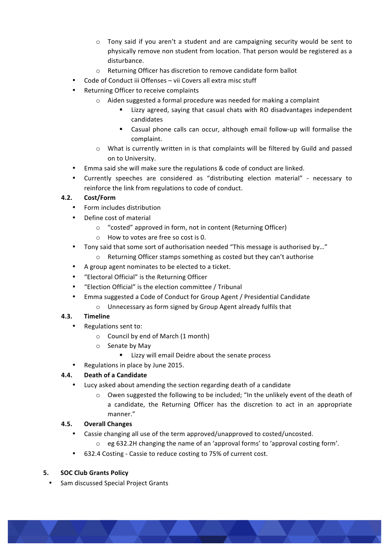- $\circ$  Tony said if you aren't a student and are campaigning security would be sent to physically remove non student from location. That person would be registered as a disturbance.
- $\circ$  Returning Officer has discretion to remove candidate form ballot
- Code of Conduct iii Offenses vii Covers all extra misc stuff
- Returning Officer to receive complaints
	- $\circ$  Aiden suggested a formal procedure was needed for making a complaint
		- Lizzy agreed, saying that casual chats with RO disadvantages independent candidates
		- Casual phone calls can occur, although email follow-up will formalise the complaint.
	- $\circ$  What is currently written in is that complaints will be filtered by Guild and passed on to University.
- Emma said she will make sure the regulations & code of conduct are linked.
- Currently speeches are considered as "distributing election material" necessary to reinforce the link from regulations to code of conduct.

# **4.2. Cost/Form**

- Form includes distribution
- Define cost of material
	- $\circ$  "costed" approved in form, not in content (Returning Officer)
	- $\circ$  How to votes are free so cost is 0.
- Tony said that some sort of authorisation needed "This message is authorised by..."
	- o Returning Officer stamps something as costed but they can't authorise
- A group agent nominates to be elected to a ticket.
- "Electoral Official" is the Returning Officer
- "Election Official" is the election committee / Tribunal
- Emma suggested a Code of Conduct for Group Agent / Presidential Candidate
	- $\circ$  Unnecessary as form signed by Group Agent already fulfils that

# **4.3. Timeline**

- Regulations sent to:
	- $\circ$  Council by end of March (1 month)
	- $\circ$  Senate by May
		- Lizzy will email Deidre about the senate process
	- Regulations in place by June 2015.

# **4.4. Death of a Candidate**

- Lucy asked about amending the section regarding death of a candidate
	- $\circ$  Owen suggested the following to be included; "In the unlikely event of the death of a candidate, the Returning Officer has the discretion to act in an appropriate manner."

#### **4.5. Overall Changes**

- Cassie changing all use of the term approved/unapproved to costed/uncosted.
	- $\circ$  eg 632.2H changing the name of an 'approval forms' to 'approval costing form'.
- 632.4 Costing Cassie to reduce costing to 75% of current cost.

#### **5. SOC Club Grants Policy**

Sam discussed Special Project Grants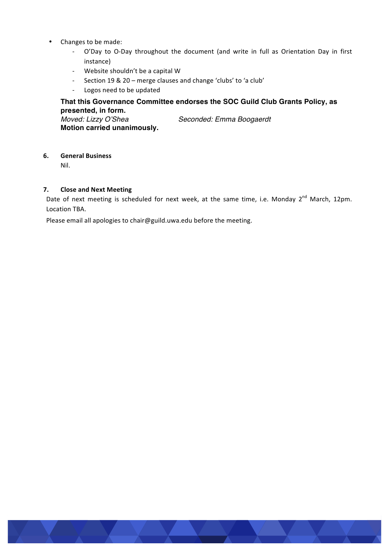- Changes to be made:
	- O'Day to O-Day throughout the document (and write in full as Orientation Day in first instance)
	- Website shouldn't be a capital W
	- Section 19 & 20 merge clauses and change 'clubs' to 'a club'
	- Logos need to be updated

## **That this Governance Committee endorses the SOC Guild Club Grants Policy, as presented, in form.**

*Moved: Lizzy O'Shea Seconded: Emma Boogaerdt* **Motion carried unanimously.**

#### **6. General Business**

Nil. 

#### **7.** Close and Next Meeting

Date of next meeting is scheduled for next week, at the same time, i.e. Monday 2<sup>nd</sup> March, 12pm. Location TBA.

Please email all apologies to chair@guild.uwa.edu before the meeting.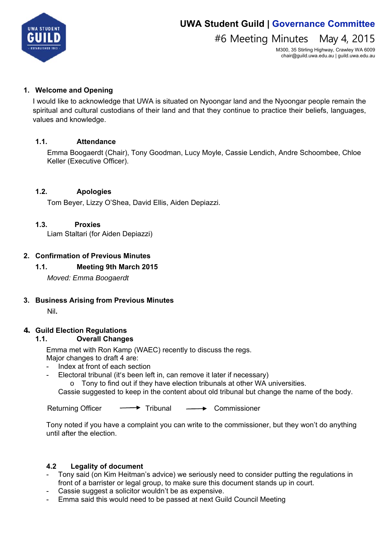

# #6 Meeting Minutes May 4, 2015

M300, 35 Stirling Highway, Crawley WA 6009 chair@guild.uwa.edu.au | guild.uwa.edu.au

## **1. Welcome and Opening**

I would like to acknowledge that UWA is situated on Nyoongar land and the Nyoongar people remain the spiritual and cultural custodians of their land and that they continue to practice their beliefs, languages, values and knowledge.

## **1.1. Attendance**

Emma Boogaerdt (Chair), Tony Goodman, Lucy Moyle, Cassie Lendich, Andre Schoombee, Chloe Keller (Executive Officer).

# **1.2. Apologies**

Tom Beyer, Lizzy O'Shea, David Ellis, Aiden Depiazzi.

## **1.3. Proxies**

Liam Staltari (for Aiden Depiazzi)

## **2. Confirmation of Previous Minutes**

# **1.1. Meeting 9th March 2015**

*Moved: Emma Boogaerdt* 

#### **3. Business Arising from Previous Minutes**

Nil**.**

#### **4. Guild Election Regulations**

#### **1.1. Overall Changes**

Emma met with Ron Kamp (WAEC) recently to discuss the regs. Major changes to draft 4 are:

- Index at front of each section
- Electoral tribunal (it's been left in, can remove it later if necessary)

 $\circ$  Tony to find out if they have election tribunals at other WA universities.

Cassie suggested to keep in the content about old tribunal but change the name of the body.

Returning Officer  $\longrightarrow$  Tribunal  $\longrightarrow$  Commissioner

Tony noted if you have a complaint you can write to the commissioner, but they won't do anything until after the election.

#### **4.2 Legality of document**

- Tony said (on Kim Heitman's advice) we seriously need to consider putting the regulations in front of a barrister or legal group, to make sure this document stands up in court.
- Cassie suggest a solicitor wouldn't be as expensive.
- Emma said this would need to be passed at next Guild Council Meeting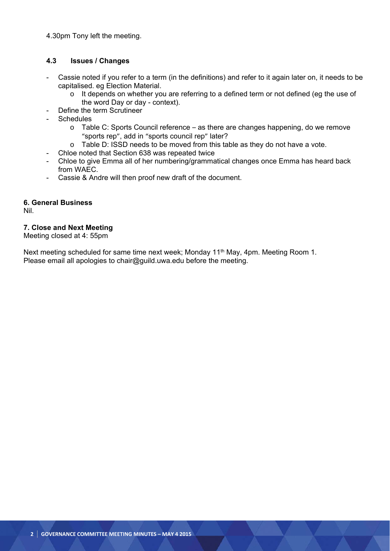4.30pm Tony left the meeting.

#### **4.3 Issues / Changes**

- Cassie noted if you refer to a term (in the definitions) and refer to it again later on, it needs to be capitalised. eg Election Material.
	- o It depends on whether you are referring to a defined term or not defined (eg the use of the word Day or day - context).
- Define the term Scrutineer
- **Schedules** 
	- o Table C: Sports Council reference as there are changes happening, do we remove "sports rep", add in "sports council rep" later?
	- o Table D: ISSD needs to be moved from this table as they do not have a vote.
- Chloe noted that Section 638 was repeated twice
- Chloe to give Emma all of her numbering/grammatical changes once Emma has heard back from WAEC.
- Cassie & Andre will then proof new draft of the document.

#### **6. General Business**

Nil.

#### **7. Close and Next Meeting**

Meeting closed at 4: 55pm

Next meeting scheduled for same time next week; Monday 11<sup>th</sup> May, 4pm. Meeting Room 1. Please email all apologies to chair@guild.uwa.edu before the meeting.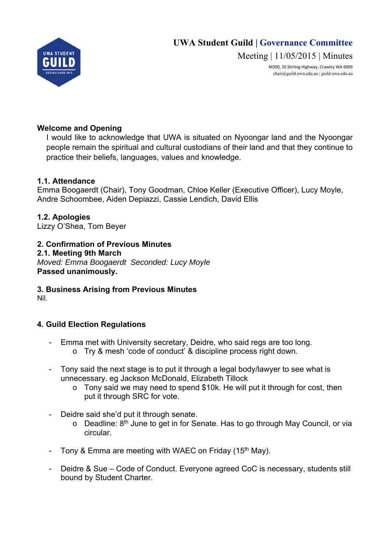

Meeting | 11/05/2015 | Minutes

M300, 35 Stirling Highway, Crawley WA 6009 chair@guild.uwa.edu.au | guild.uwa.edu.au

# **Welcome and Opening**

I would like to acknowledge that UWA is situated on Nyoongar land and the Nyoongar people remain the spiritual and cultural custodians of their land and that they continue to practice their beliefs, languages, values and knowledge.

# **1.1. Attendance**

Emma Boogaerdt (Chair), Tony Goodman, Chloe Keller (Executive Officer), Lucy Moyle, Andre Schoombee, Aiden Depiazzi, Cassie Lendich, David Ellis

**1.2. Apologies**  Lizzy O'Shea, Tom Beyer

**2. Confirmation of Previous Minutes** 

**2.1. Meeting 9th March**  *Moved: Emma Boogaerdt Seconded: Lucy Moyle*  **Passed unanimously.** 

**3. Business Arising from Previous Minutes**  Nil.

# **4. Guild Election Regulations**

- Emma met with University secretary, Deidre, who said regs are too long. o Try & mesh 'code of conduct' & discipline process right down.
- Tony said the next stage is to put it through a legal body/lawyer to see what is unnecessary. eg Jackson McDonald, Elizabeth Tillock
	- o Tony said we may need to spend \$10k. He will put it through for cost, then put it through SRC for vote.
- Deidre said she'd put it through senate.
	- $\circ$  Deadline:  $8<sup>th</sup>$  June to get in for Senate. Has to go through May Council, or via circular.
- Tony & Emma are meeting with WAEC on Friday (15<sup>th</sup> May).
- Deidre & Sue Code of Conduct. Everyone agreed CoC is necessary, students still bound by Student Charter.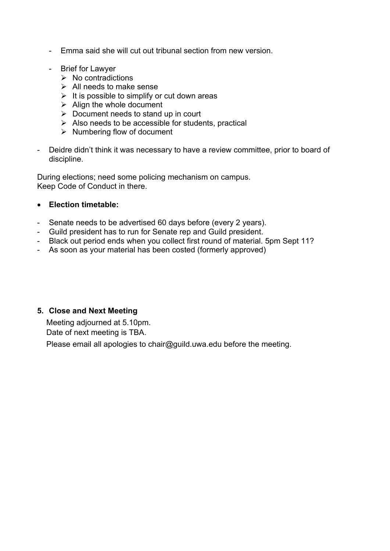- Emma said she will cut out tribunal section from new version.
- Brief for Lawyer
	- $\triangleright$  No contradictions
	- $\triangleright$  All needs to make sense
	- $\triangleright$  It is possible to simplify or cut down areas
	- $\triangleright$  Align the whole document
	- $\triangleright$  Document needs to stand up in court
	- $\triangleright$  Also needs to be accessible for students, practical
	- $\triangleright$  Numbering flow of document
- Deidre didn't think it was necessary to have a review committee, prior to board of discipline.

During elections; need some policing mechanism on campus. Keep Code of Conduct in there.

# **Election timetable:**

- Senate needs to be advertised 60 days before (every 2 years).
- Guild president has to run for Senate rep and Guild president.
- Black out period ends when you collect first round of material. 5pm Sept 11?
- As soon as your material has been costed (formerly approved)

# **5. Close and Next Meeting**

Meeting adjourned at 5.10pm. Date of next meeting is TBA.

Please email all apologies to chair@guild.uwa.edu before the meeting.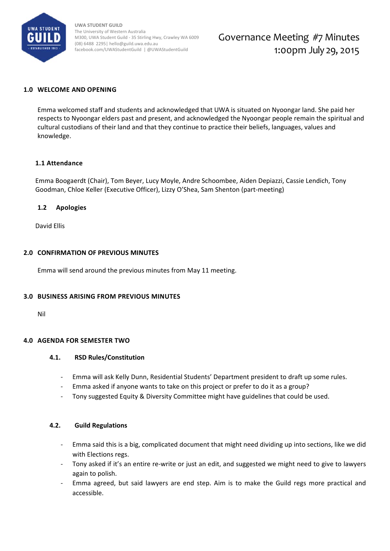

**UWA STUDENT GUILD**  The University of Western Australia M300, UWA Student Guild ‐ 35 Stirling Hwy, Crawley WA 6009 (08) 6488 2295| hello@guild.uwa.edu.au facebook.com/UWAStudentGuild | @UWAStudentGuild

# Governance Meeting #7 Minutes 1:00pm July 29, 2015

#### **1.0 WELCOME AND OPENING**

Emma welcomed staff and students and acknowledged that UWA is situated on Nyoongar land. She paid her respects to Nyoongar elders past and present, and acknowledged the Nyoongar people remain the spiritual and cultural custodians of their land and that they continue to practice their beliefs, languages, values and knowledge.

#### **1.1 Attendance**

Emma Boogaerdt (Chair), Tom Beyer, Lucy Moyle, Andre Schoombee, Aiden Depiazzi, Cassie Lendich, Tony Goodman, Chloe Keller (Executive Officer), Lizzy O'Shea, Sam Shenton (part‐meeting)

#### **1.2 Apologies**

David Ellis

#### **2.0 CONFIRMATION OF PREVIOUS MINUTES**

Emma will send around the previous minutes from May 11 meeting.

#### **3.0 BUSINESS ARISING FROM PREVIOUS MINUTES**

Nil

#### **4.0 AGENDA FOR SEMESTER TWO**

#### **4.1. RSD Rules/Constitution**

- ‐ Emma will ask Kelly Dunn, Residential Students' Department president to draft up some rules.
- ‐ Emma asked if anyone wants to take on this project or prefer to do it as a group?
- ‐ Tony suggested Equity & Diversity Committee might have guidelines that could be used.

#### **4.2. Guild Regulations**

- ‐ Emma said this is a big, complicated document that might need dividing up into sections, like we did with Elections regs.
- ‐ Tony asked if it's an entire re‐write or just an edit, and suggested we might need to give to lawyers again to polish.
- ‐ Emma agreed, but said lawyers are end step. Aim is to make the Guild regs more practical and accessible.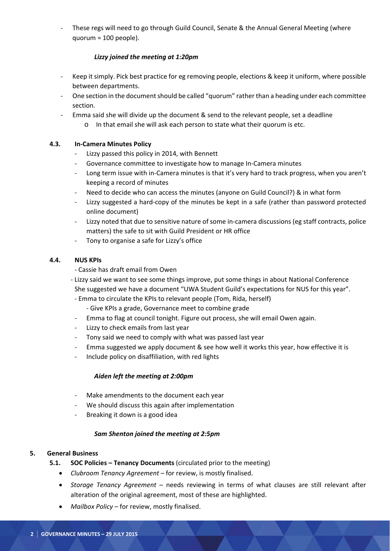These regs will need to go through Guild Council, Senate & the Annual General Meeting (where quorum = 100 people).

#### *Lizzy joined the meeting at 1:20pm*

- Keep it simply. Pick best practice for eg removing people, elections & keep it uniform, where possible between departments.
- ‐ One section in the documentshould be called "quorum" rather than a heading under each committee section.
- ‐ Emma said she will divide up the document & send to the relevant people, set a deadline
	- o In that email she will ask each person to state what their quorum is etc.

#### **4.3. In‐Camera Minutes Policy**

- Lizzy passed this policy in 2014, with Bennett
- ‐ Governance committee to investigate how to manage In‐Camera minutes
- Long term issue with in-Camera minutes is that it's very hard to track progress, when you aren't keeping a record of minutes
- Need to decide who can access the minutes (anyone on Guild Council?) & in what form
- Lizzy suggested a hard-copy of the minutes be kept in a safe (rather than password protected online document)
- Lizzy noted that due to sensitive nature of some in-camera discussions (eg staff contracts, police matters) the safe to sit with Guild President or HR office
- ‐ Tony to organise a safe for Lizzy's office

#### **4.4. NUS KPIs**

- ‐ Cassie has draft email from Owen
- ‐ Lizzy said we want to see some things improve, put some things in about National Conference She suggested we have a document "UWA Student Guild's expectations for NUS for this year".
	- ‐ Emma to circulate the KPIs to relevant people (Tom, Rida, herself)
		- ‐ Give KPIs a grade, Governance meet to combine grade
	- ‐ Emma to flag at council tonight. Figure out process, she will email Owen again.
	- Lizzy to check emails from last year
- ‐ Tony said we need to comply with what was passed last year
- ‐ Emma suggested we apply document & see how well it works this year, how effective it is
- ‐ Include policy on disaffiliation, with red lights

#### *Aiden left the meeting at 2:00pm*

- Make amendments to the document each year
- We should discuss this again after implementation
- ‐ Breaking it down is a good idea

#### *Sam Shenton joined the meeting at 2:5pm*

#### **5. General Business**

- **5.1. SOC Policies – Tenancy Documents** (circulated prior to the meeting)
	- *Clubroom Tenancy Agreement* for review, is mostly finalised.
	- *Storage Tenancy Agreement* needs reviewing in terms of what clauses are still relevant after alteration of the original agreement, most of these are highlighted.
	- *Mailbox Policy* for review, mostly finalised.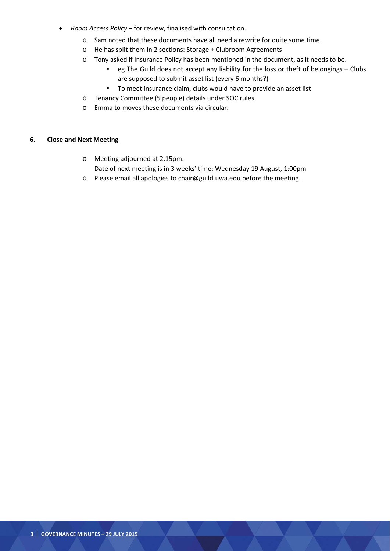- *Room Access Policy* for review, finalised with consultation.
	- o Sam noted that these documents have all need a rewrite for quite some time.
	- o He has split them in 2 sections: Storage + Clubroom Agreements
	- o Tony asked if Insurance Policy has been mentioned in the document, as it needs to be.
		- eg The Guild does not accept any liability for the loss or theft of belongings Clubs are supposed to submit asset list (every 6 months?)
		- **To meet insurance claim, clubs would have to provide an asset list**
	- o Tenancy Committee (5 people) details under SOC rules
	- o Emma to moves these documents via circular.

#### **6. Close and Next Meeting**

- o Meeting adjourned at 2.15pm. Date of next meeting is in 3 weeks' time: Wednesday 19 August, 1:00pm
- o Please email all apologies to chair@guild.uwa.edu before the meeting.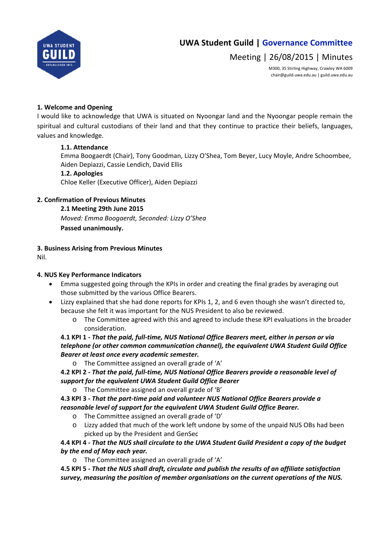

Meeting | 26/08/2015 | Minutes

M300, 35 Stirling Highway, Crawley WA 6009 chair@guild.uwa.edu.au | guild.uwa.edu.au

#### **1. Welcome and Opening**

I would like to acknowledge that UWA is situated on Nyoongar land and the Nyoongar people remain the spiritual and cultural custodians of their land and that they continue to practice their beliefs, languages, values and knowledge.

#### **1.1. Attendance**

Emma Boogaerdt (Chair), Tony Goodman, Lizzy O'Shea, Tom Beyer, Lucy Moyle, Andre Schoombee, Aiden Depiazzi, Cassie Lendich, David Ellis

#### **1.2. Apologies**

Chloe Keller (Executive Officer), Aiden Depiazzi

#### **2. Confirmation of Previous Minutes**

#### **2.1 Meeting 29th June 2015**

*Moved: Emma Boogaerdt, Seconded: Lizzy O'Shea* **Passed unanimously.** 

**3. Business Arising from Previous Minutes**

Nil.

#### **4. NUS Key Performance Indicators**

- Emma suggested going through the KPIs in order and creating the final grades by averaging out those submitted by the various Office Bearers.
- Lizzy explained that she had done reports for KPIs 1, 2, and 6 even though she wasn't directed to, because she felt it was important for the NUS President to also be reviewed.
	- o The Committee agreed with this and agreed to include these KPI evaluations in the broader consideration.

4.1 KPI 1 - That the paid, full-time, NUS National Office Bearers meet, either in person or via *telephone (or other common communication channel), the equivalent UWA Student Guild Office Bearer at least once every academic semester.*

o The Committee assigned an overall grade of 'A'

4.2 KPI 2 - That the paid, full-time, NUS National Office Bearers provide a reasonable level of *support for the equivalent UWA Student Guild Office Bearer*

o The Committee assigned an overall grade of 'B'

**4.3 KPI 3 ‐** *That the part‐time paid and volunteer NUS National Office Bearers provide a reasonable level of support for the equivalent UWA Student Guild Office Bearer.* 

- o The Committee assigned an overall grade of 'D'
- o Lizzy added that much of the work left undone by some of the unpaid NUS OBs had been picked up by the President and GenSec

4.4 KPI 4 - That the NUS shall circulate to the UWA Student Guild President a copy of the budget *by the end of May each year.*

o The Committee assigned an overall grade of 'A'

4.5 KPI 5 - That the NUS shall draft, circulate and publish the results of an affiliate satisfaction *survey, measuring the position of member organisations on the current operations of the NUS.*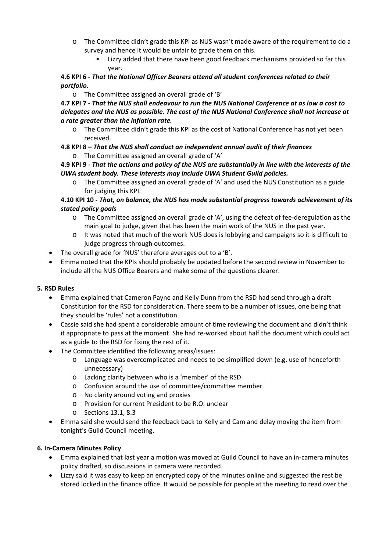- o The Committee didn't grade this KPI as NUS wasn't made aware of the requirement to do a survey and hence it would be unfair to grade them on this.
	- Lizzy added that there have been good feedback mechanisms provided so far this year.

## **4.6 KPI 6 ‐** *That the National Officer Bearers attend all student conferences related to their portfolio.*

o The Committee assigned an overall grade of 'B'

4.7 KPI 7 - That the NUS shall endeavour to run the NUS National Conference at as low a cost to *delegates and the NUS as possible. The cost of the NUS National Conference shall not increase at a rate greater than the inflation rate.*

o The Committee didn't grade this KPI as the cost of National Conference has not yet been received.

# **4.8 KPI 8** *– That the NUS shall conduct an independent annual audit of their finances*

o The Committee assigned an overall grade of 'A'

## 4.9 KPI 9 - That the actions and policy of the NUS are substantially in line with the interests of the *UWA student body. These interests may include UWA Student Guild policies.*

The Committee assigned an overall grade of 'A' and used the NUS Constitution as a guide for judging this KPI.

# **4.10 KPI 10** *‐ That, on balance, the NUS has made substantial progress towards achievement of its stated policy goals*

- o The Committee assigned an overall grade of 'A', using the defeat of fee‐deregulation as the main goal to judge, given that has been the main work of the NUS in the past year.
- o It was noted that much of the work NUS does is lobbying and campaigns so it is difficult to judge progress through outcomes.
- The overall grade for 'NUS' therefore averages out to a 'B'.
- Emma noted that the KPIs should probably be updated before the second review in November to include all the NUS Office Bearers and make some of the questions clearer.

# **5. RSD Rules**

- Emma explained that Cameron Payne and Kelly Dunn from the RSD had send through a draft Constitution for the RSD for consideration. There seem to be a number of issues, one being that they should be 'rules' not a constitution.
- Cassie said she had spent a considerable amount of time reviewing the document and didn't think it appropriate to pass at the moment. She had re‐worked about half the document which could act as a guide to the RSD for fixing the rest of it.
- The Committee identified the following areas/issues:
	- o Language was overcomplicated and needs to be simplified down (e.g. use of henceforth unnecessary)
	- o Lacking clarity between who is a 'member' of the RSD
	- o Confusion around the use of committee/committee member
	- o No clarity around voting and proxies
	- o Provision for current President to be R.O. unclear
	- o Sections 13.1, 8.3
- Emma said she would send the feedback back to Kelly and Cam and delay moving the item from tonight's Guild Council meeting.

# **6. In‐Camera Minutes Policy**

- Emma explained that last year a motion was moved at Guild Council to have an in‐camera minutes policy drafted, so discussions in camera were recorded.
- Lizzy said it was easy to keep an encrypted copy of the minutes online and suggested the rest be stored locked in the finance office. It would be possible for people at the meeting to read over the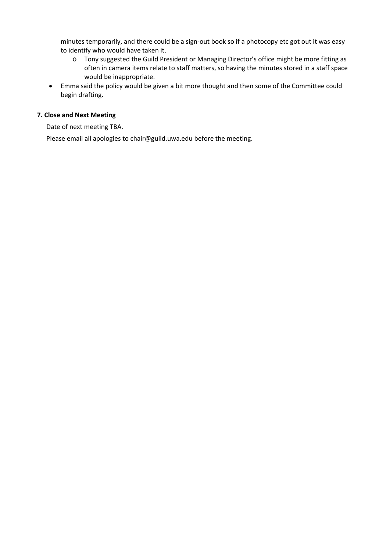minutes temporarily, and there could be a sign-out book so if a photocopy etc got out it was easy to identify who would have taken it.

- o Tony suggested the Guild President or Managing Director's office might be more fitting as often in camera items relate to staff matters, so having the minutes stored in a staff space would be inappropriate.
- Emma said the policy would be given a bit more thought and then some of the Committee could begin drafting.

#### **7. Close and Next Meeting**

Date of next meeting TBA.

Please email all apologies to chair@guild.uwa.edu before the meeting.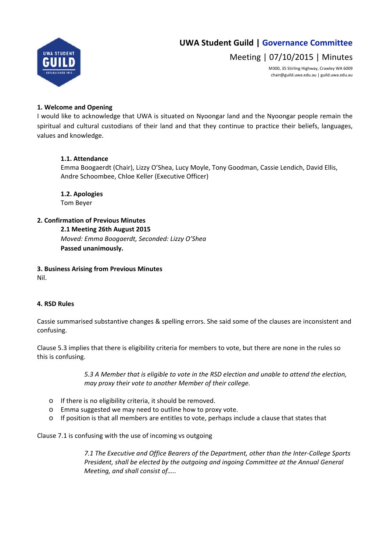

Meeting | 07/10/2015 | Minutes

M300, 35 Stirling Highway, Crawley WA 6009 chair@guild.uwa.edu.au | guild.uwa.edu.au

#### **1. Welcome and Opening**

I would like to acknowledge that UWA is situated on Nyoongar land and the Nyoongar people remain the spiritual and cultural custodians of their land and that they continue to practice their beliefs, languages, values and knowledge.

## **1.1. Attendance**

Emma Boogaerdt (Chair), Lizzy O'Shea, Lucy Moyle, Tony Goodman, Cassie Lendich, David Ellis, Andre Schoombee, Chloe Keller (Executive Officer)

**1.2. Apologies** Tom Beyer

## **2. Confirmation of Previous Minutes**

**2.1 Meeting 26th August 2015** *Moved: Emma Boogaerdt, Seconded: Lizzy O'Shea* **Passed unanimously.** 

# **3. Business Arising from Previous Minutes**

Nil.

#### **4. RSD Rules**

Cassie summarised substantive changes & spelling errors. She said some of the clauses are inconsistent and confusing.

Clause 5.3 implies that there is eligibility criteria for members to vote, but there are none in the rules so this is confusing.

> *5.3 A Member that is eligible to vote in the RSD election and unable to attend the election, may proxy their vote to another Member of their college.*

- o If there is no eligibility criteria, it should be removed.
- o Emma suggested we may need to outline how to proxy vote.
- o If position is that all members are entitles to vote, perhaps include a clause that states that

Clause 7.1 is confusing with the use of incoming vs outgoing

*7.1 The Executive and Office Bearers of the Department, other than the Inter‐College Sports President, shall be elected by the outgoing and ingoing Committee at the Annual General Meeting, and shall consist of…..*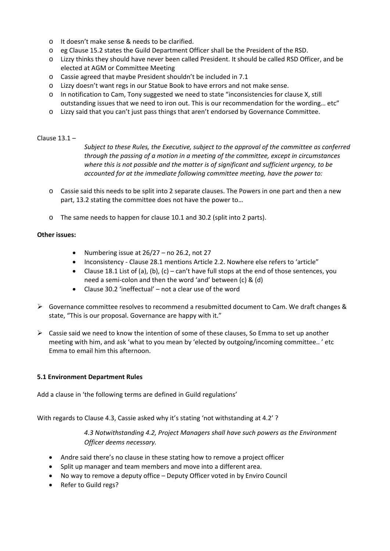- o It doesn't make sense & needs to be clarified.
- o eg Clause 15.2 states the Guild Department Officer shall be the President of the RSD.
- o Lizzy thinks they should have never been called President. It should be called RSD Officer, and be elected at AGM or Committee Meeting
- o Cassie agreed that maybe President shouldn't be included in 7.1
- o Lizzy doesn't want regs in our Statue Book to have errors and not make sense.
- o In notification to Cam, Tony suggested we need to state "inconsistencies for clause X, still outstanding issues that we need to iron out. This is our recommendation for the wording… etc"
- o Lizzy said that you can't just pass things that aren't endorsed by Governance Committee.

#### Clause 13.1 –

*Subject to these Rules, the Executive, subject to the approval of the committee as conferred through the passing of a motion in a meeting of the committee, except in circumstances where this is not possible and the matter is of significant and sufficient urgency, to be accounted for at the immediate following committee meeting, have the power to:* 

- o Cassie said this needs to be split into 2 separate clauses. The Powers in one part and then a new part, 13.2 stating the committee does not have the power to…
- o The same needs to happen for clause 10.1 and 30.2 (split into 2 parts).

#### **Other issues:**

- Numbering issue at  $26/27$  no 26.2, not 27
- Inconsistency ‐ Clause 28.1 mentions Article 2.2. Nowhere else refers to 'article"
- Clause 18.1 List of (a), (b), (c) can't have full stops at the end of those sentences, you need a semi‐colon and then the word 'and' between (c) & (d)
- Clause 30.2 'ineffectual' not a clear use of the word
- $\triangleright$  Governance committee resolves to recommend a resubmitted document to Cam. We draft changes & state, "This is our proposal. Governance are happy with it."
- $\triangleright$  Cassie said we need to know the intention of some of these clauses, So Emma to set up another meeting with him, and ask 'what to you mean by 'elected by outgoing/incoming committee.. ' etc Emma to email him this afternoon.

#### **5.1 Environment Department Rules**

Add a clause in 'the following terms are defined in Guild regulations'

With regards to Clause 4.3, Cassie asked why it's stating 'not withstanding at 4.2' ?

*4.3 Notwithstanding 4.2, Project Managers shall have such powers as the Environment Officer deems necessary.*

- Andre said there's no clause in these stating how to remove a project officer
- Split up manager and team members and move into a different area.
- No way to remove a deputy office Deputy Officer voted in by Enviro Council
- Refer to Guild regs?